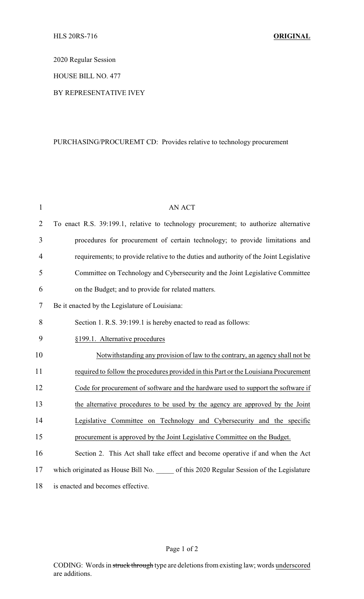2020 Regular Session

HOUSE BILL NO. 477

## BY REPRESENTATIVE IVEY

## PURCHASING/PROCUREMT CD: Provides relative to technology procurement

| $\mathbf{1}$   | <b>AN ACT</b>                                                                             |
|----------------|-------------------------------------------------------------------------------------------|
| $\overline{2}$ | To enact R.S. 39:199.1, relative to technology procurement; to authorize alternative      |
| 3              | procedures for procurement of certain technology; to provide limitations and              |
| $\overline{4}$ | requirements; to provide relative to the duties and authority of the Joint Legislative    |
| 5              | Committee on Technology and Cybersecurity and the Joint Legislative Committee             |
| 6              | on the Budget; and to provide for related matters.                                        |
| 7              | Be it enacted by the Legislature of Louisiana:                                            |
| 8              | Section 1. R.S. 39:199.1 is hereby enacted to read as follows:                            |
| 9              | §199.1. Alternative procedures                                                            |
| 10             | Notwithstanding any provision of law to the contrary, an agency shall not be              |
| 11             | required to follow the procedures provided in this Part or the Louisiana Procurement      |
| 12             | Code for procurement of software and the hardware used to support the software if         |
| 13             | the alternative procedures to be used by the agency are approved by the Joint             |
| 14             | Legislative Committee on Technology and Cybersecurity and the specific                    |
| 15             | procurement is approved by the Joint Legislative Committee on the Budget.                 |
| 16             | Section 2. This Act shall take effect and become operative if and when the Act            |
| 17             | which originated as House Bill No. ______ of this 2020 Regular Session of the Legislature |
| 18             | is enacted and becomes effective.                                                         |

## Page 1 of 2

CODING: Words in struck through type are deletions from existing law; words underscored are additions.